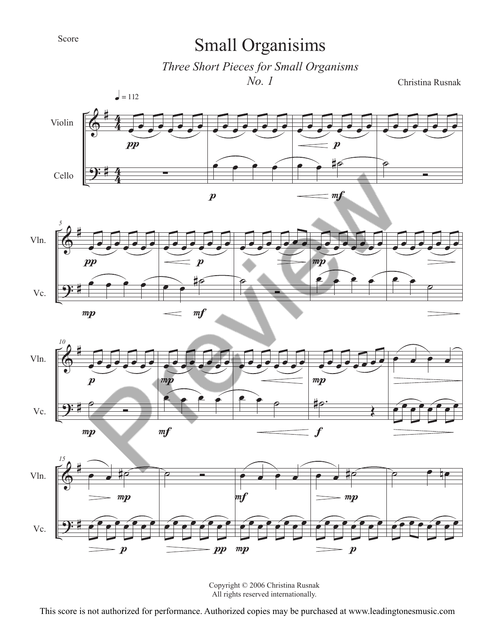## Small Organisims

*Three Short Pieces for Small Organisms No. 1*

Christina Rusnak









Copyright © 2006 Christina Rusnak All rights reserved internationally.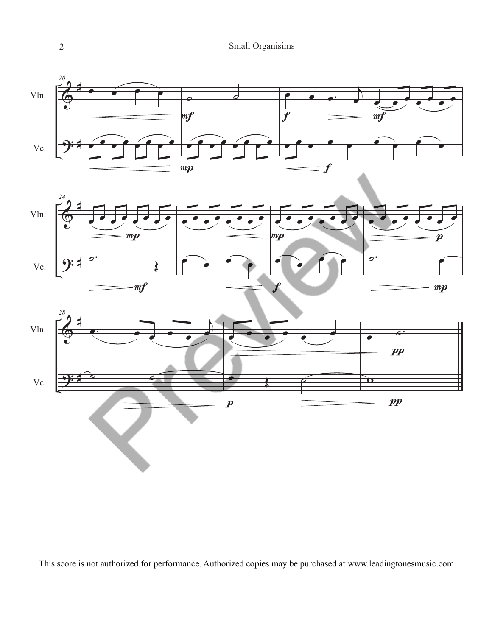2 Small Organisims





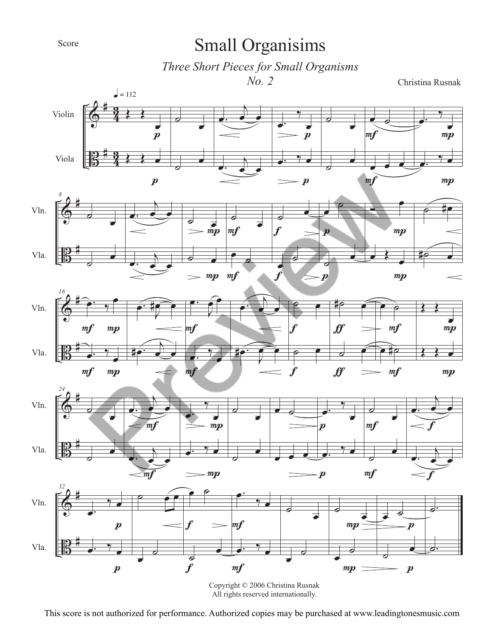## Small Organisims *Three Short Pieces for Small Organisms*

*No. 2*

Christina Rusnak











Copyright © 2006 Christina Rusnak All rights reserved internationally.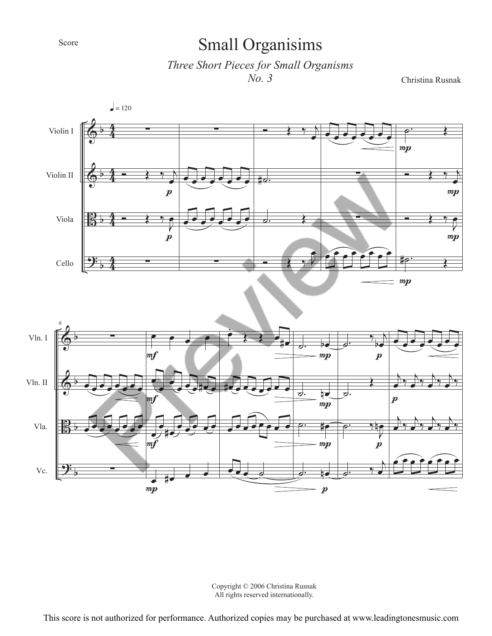## Small Organisims

*Three Short Pieces for Small Organisms*

*No. 3*

Christina Rusnak



Copyright © 2006 Christina Rusnak All rights reserved internationally.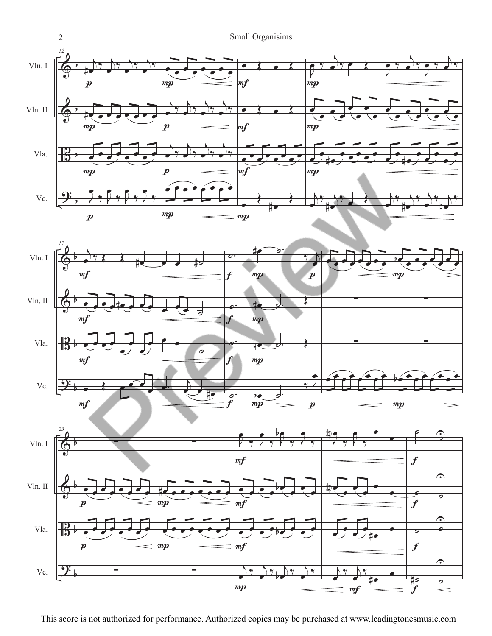